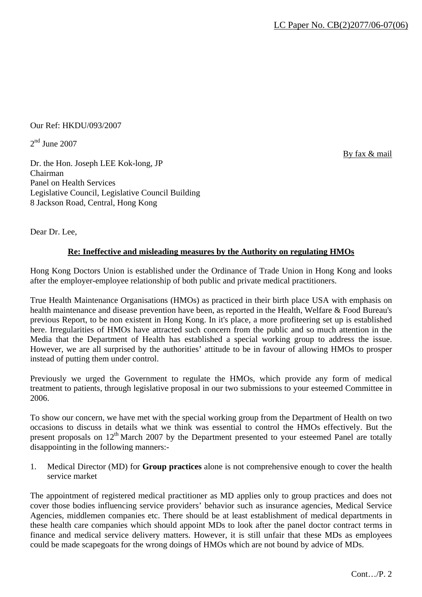Our Ref: HKDU/093/2007

 $2<sup>nd</sup>$  June 2007

By fax & mail

Dr. the Hon. Joseph LEE Kok-long, JP Chairman Panel on Health Services Legislative Council, Legislative Council Building 8 Jackson Road, Central, Hong Kong

Dear Dr. Lee,

### **Re: Ineffective and misleading measures by the Authority on regulating HMOs**

Hong Kong Doctors Union is established under the Ordinance of Trade Union in Hong Kong and looks after the employer-employee relationship of both public and private medical practitioners.

True Health Maintenance Organisations (HMOs) as practiced in their birth place USA with emphasis on health maintenance and disease prevention have been, as reported in the Health, Welfare & Food Bureau's previous Report, to be non existent in Hong Kong. In it's place, a more profiteering set up is established here. Irregularities of HMOs have attracted such concern from the public and so much attention in the Media that the Department of Health has established a special working group to address the issue. However, we are all surprised by the authorities' attitude to be in favour of allowing HMOs to prosper instead of putting them under control.

Previously we urged the Government to regulate the HMOs, which provide any form of medical treatment to patients, through legislative proposal in our two submissions to your esteemed Committee in 2006.

To show our concern, we have met with the special working group from the Department of Health on two occasions to discuss in details what we think was essential to control the HMOs effectively. But the present proposals on 12<sup>th</sup> March 2007 by the Department presented to your esteemed Panel are totally disappointing in the following manners:-

1. Medical Director (MD) for **Group practices** alone is not comprehensive enough to cover the health service market

The appointment of registered medical practitioner as MD applies only to group practices and does not cover those bodies influencing service providers' behavior such as insurance agencies, Medical Service Agencies, middlemen companies etc. There should be at least establishment of medical departments in these health care companies which should appoint MDs to look after the panel doctor contract terms in finance and medical service delivery matters. However, it is still unfair that these MDs as employees could be made scapegoats for the wrong doings of HMOs which are not bound by advice of MDs.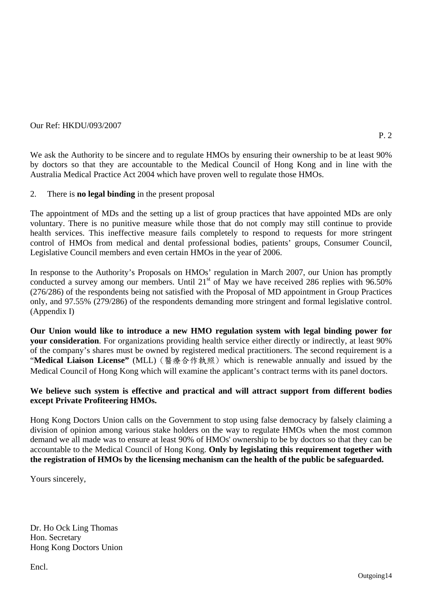#### Our Ref: HKDU/093/2007

We ask the Authority to be sincere and to regulate HMOs by ensuring their ownership to be at least 90% by doctors so that they are accountable to the Medical Council of Hong Kong and in line with the Australia Medical Practice Act 2004 which have proven well to regulate those HMOs.

#### 2. There is **no legal binding** in the present proposal

The appointment of MDs and the setting up a list of group practices that have appointed MDs are only voluntary. There is no punitive measure while those that do not comply may still continue to provide health services. This ineffective measure fails completely to respond to requests for more stringent control of HMOs from medical and dental professional bodies, patients' groups, Consumer Council, Legislative Council members and even certain HMOs in the year of 2006.

In response to the Authority's Proposals on HMOs' regulation in March 2007, our Union has promptly conducted a survey among our members. Until 21<sup>st</sup> of May we have received 286 replies with 96.50% (276/286) of the respondents being not satisfied with the Proposal of MD appointment in Group Practices only, and 97.55% (279/286) of the respondents demanding more stringent and formal legislative control. (Appendix I)

**Our Union would like to introduce a new HMO regulation system with legal binding power for your consideration**. For organizations providing health service either directly or indirectly, at least 90% of the company's shares must be owned by registered medical practitioners. The second requirement is a "**Medical Liaison License"** (MLL) (醫療合作執照) which is renewable annually and issued by the Medical Council of Hong Kong which will examine the applicant's contract terms with its panel doctors.

#### **We believe such system is effective and practical and will attract support from different bodies except Private Profiteering HMOs.**

Hong Kong Doctors Union calls on the Government to stop using false democracy by falsely claiming a division of opinion among various stake holders on the way to regulate HMOs when the most common demand we all made was to ensure at least 90% of HMOs' ownership to be by doctors so that they can be accountable to the Medical Council of Hong Kong. **Only by legislating this requirement together with the registration of HMOs by the licensing mechanism can the health of the public be safeguarded.**

Yours sincerely,

Dr. Ho Ock Ling Thomas Hon. Secretary Hong Kong Doctors Union

Encl.